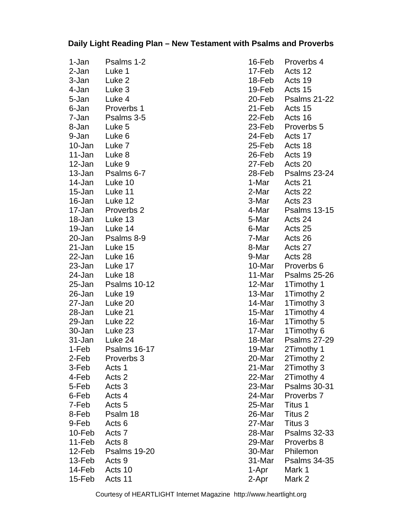## **Daily Light Reading Plan – New Testament with Psalms and Proverbs**

| 1-Jan  | Psalms 1-2          |
|--------|---------------------|
| 2-Jan  | Luke 1              |
| 3-Jan  | Luke <sub>2</sub>   |
| 4-Jan  | Luke 3              |
| 5-Jan  | Luke 4              |
| 6-Jan  | Proverbs 1          |
| 7-Jan  | Psalms 3-5          |
| 8-Jan  | Luke 5              |
| 9-Jan  | Luke 6              |
| 10-Jan | Luke 7              |
| 11-Jan | Luke <sub>8</sub>   |
| 12-Jan | Luke 9              |
| 13-Jan | Psalms 6-7          |
| 14-Jan | Luke 10             |
| 15-Jan | Luke 11             |
| 16-Jan | Luke 12             |
| 17-Jan | Proverbs 2          |
| 18-Jan | Luke 13             |
| 19-Jan | Luke 14             |
| 20-Jan | Psalms 8-9          |
| 21-Jan | Luke 15             |
| 22-Jan | Luke 16             |
| 23-Jan | Luke 17             |
| 24-Jan | Luke 18             |
| 25-Jan | <b>Psalms 10-12</b> |
| 26-Jan | Luke 19             |
| 27-Jan | Luke 20             |
| 28-Jan | Luke 21             |
| 29-Jan | Luke 22             |
| 30-Jan | Luke 23             |
| 31-Jan | Luke 24             |
| 1-Feb  | <b>Psalms 16-17</b> |
| 2-Feb  | Proverbs 3          |
| 3-Feb  | Acts 1              |
| 4-Feb  | Acts <sub>2</sub>   |
| 5-Feb  | Acts <sub>3</sub>   |
| 6-Feb  | Acts 4              |
| 7-Feb  | Acts <sub>5</sub>   |
| 8-Feb  | Psalm 18            |
| 9-Feb  | Acts <sub>6</sub>   |
| 10-Feb | Acts 7              |
| 11-Feb | Acts 8              |
| 12-Feb | <b>Psalms 19-20</b> |
| 13-Feb | Acts 9              |
| 14-Feb | Acts 10             |
| 15-Feb | Acts 11             |

16-Feb Proverbs 4 17-Feb Acts 12 18-Feb Acts 19 19-Feb Acts 15 20-Feb Psalms 21-22 21-Feb Acts 15 22-Feb Acts 16 23-Feb Proverbs 5 24-Feb Acts 17 25-Feb Acts 18 26-Feb Acts 19 27-Feb Acts 20 28-Feb Psalms 23-24 1-Mar Acts 21 2-Mar Acts 22 3-Mar Acts 23 4-Mar Psalms 13-15 5-Mar Acts 24 6-Mar Acts 25 7-Mar Acts 26 8-Mar Acts 27 9-Mar Acts 28 10-Mar Proverbs 6 11-Mar Psalms 25-26 12-Mar 1Timothy 1 13-Mar 1Timothy 2 14-Mar 1Timothy 3 15-Mar 1Timothy 4 16-Mar 1Timothy 5 17-Mar 1Timothy 6 18-Mar Psalms 27-29 19-Mar 2Timothy 1 20-Mar 2Timothy 2 21-Mar 2Timothy 3 22-Mar 2Timothy 4 23-Mar Psalms 30-31 24-Mar Proverbs 7 25-Mar Titus 1 26-Mar Titus 2 27-Mar Titus 3 28-Mar Psalms 32-33 29-Mar Proverbs 8 30-Mar Philemon 31-Mar Psalms 34-35 1-Apr Mark 1 2-Apr Mark 2

Courtesy of HEARTLIGHT Internet Magazine http://www.heartlight.org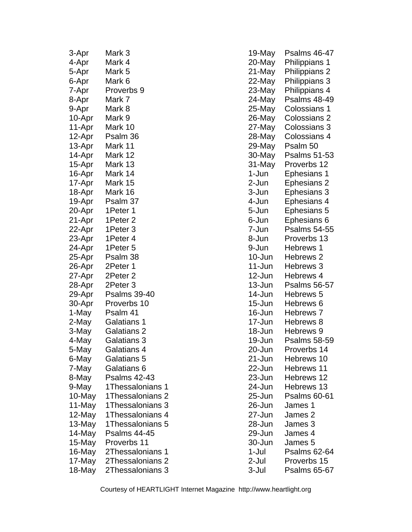| 3-Apr  | Mark 3              |
|--------|---------------------|
| 4-Apr  | Mark 4              |
| 5-Apr  | Mark 5              |
| 6-Apr  | Mark 6              |
| 7-Apr  | Proverbs 9          |
| 8-Apr  | Mark 7              |
| 9-Apr  | Mark 8              |
| 10-Apr | Mark 9              |
| 11-Apr | Mark 10             |
| 12-Apr | Psalm 36            |
| 13-Apr | Mark 11             |
| 14-Apr | Mark 12             |
| 15-Apr | Mark 13             |
| 16-Apr | Mark 14             |
| 17-Apr | Mark 15             |
| 18-Apr | Mark 16             |
| 19-Apr | Psalm 37            |
| 20-Apr | 1Peter 1            |
| 21-Apr | 1Peter 2            |
| 22-Apr | 1Peter 3            |
| 23-Apr | 1Peter 4            |
| 24-Apr | 1Peter 5            |
| 25-Apr | Psalm 38            |
| 26-Apr | 2Peter 1            |
| 27-Apr | 2Peter 2            |
| 28-Apr | 2Peter 3            |
| 29-Apr | <b>Psalms 39-40</b> |
| 30-Apr | Proverbs 10         |
| 1-May  | Psalm 41            |
| 2-May  | Galatians 1         |
| 3-May  | Galatians 2         |
| 4-May  | Galatians 3         |
| 5-May  | Galatians 4         |
| 6-May  | Galatians 5         |
| 7-May  | Galatians 6         |
| 8-May  | <b>Psalms 42-43</b> |
| 9-May  | 1Thessalonians 1    |
| 10-May | 1Thessalonians 2    |
| 11-May | 1Thessalonians 3    |
| 12-May | 1Thessalonians 4    |
| 13-May | 1Thessalonians 5    |
| 14-May | Psalms 44-45        |
| 15-May | Proverbs 11         |
| 16-May | 2Thessalonians 1    |
| 17-May | 2Thessalonians 2    |
| 18-May | 2Thessalonians 3    |

| 19-May     | Psalms 46-47         |
|------------|----------------------|
| 20-May     | Philippians 1        |
| 21-May     | Philippians 2        |
| 22-May     | Philippians 3        |
| 23-May     | Philippians 4        |
| 24-May     | <b>Psalms 48-49</b>  |
| 25-May     | Colossians 1         |
| 26-May     | Colossians 2         |
| 27-May     | Colossians 3         |
| 28-May     | Colossians 4         |
| 29-May     | Psalm 50             |
| 30-May     | Psalms 51-53         |
| 31-May     | Proverbs 12          |
| 1-Jun      | Ephesians 1          |
| 2-Jun      | <b>Ephesians 2</b>   |
| 3-Jun      | <b>Ephesians 3</b>   |
| 4-Jun      | Ephesians 4          |
| 5-Jun      | <b>Ephesians 5</b>   |
| 6-Jun      | Ephesians 6          |
| 7-Jun      | Psalms 54-55         |
| 8-Jun      | Proverbs 13          |
| 9-Jun      | Hebrews 1            |
| 10-Jun     | Hebrews <sub>2</sub> |
| 11-Jun     | Hebrews 3            |
| 12-Jun     | Hebrews 4            |
| 13-Jun     | <b>Psalms 56-57</b>  |
| 14-Jun     | Hebrews 5            |
| 15-Jun     | Hebrews 6            |
| 16-Jun     | Hebrews 7            |
| 17-Jun     | Hebrews 8            |
| 18-Jun     | Hebrews 9            |
| 19-Jun     | <b>Psalms 58-59</b>  |
| 20-Jun     | Proverbs 14          |
| $21 - Jun$ | Hebrews 10           |
| 22-Jun     | Hebrews 11           |
| 23-Jun     | Hebrews 12           |
| 24-Jun     | Hebrews 13           |
| 25-Jun     | <b>Psalms 60-61</b>  |
| 26-Jun     | James 1              |
| 27-Jun     | James 2              |
| 28-Jun     | James 3              |
| 29-Jun     | James 4              |
| 30-Jun     | James 5              |
| $1-Jul$    | <b>Psalms 62-64</b>  |
| 2-Jul      | Proverbs 15          |
| 3-Jul      | <b>Psalms 65-67</b>  |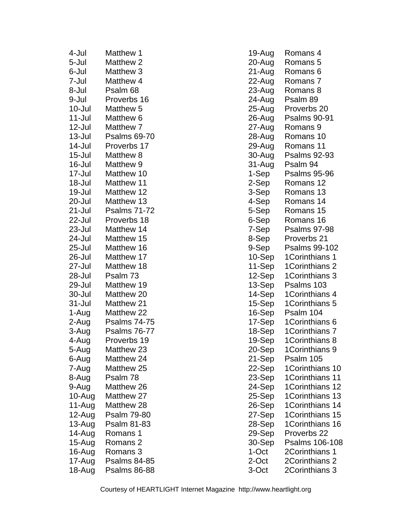| 4-Jul      | Matthew 1           |
|------------|---------------------|
| 5-Jul      | <b>Matthew 2</b>    |
| 6-Jul      | Matthew 3           |
| 7-Jul      | Matthew 4           |
| 8-Jul      | Psalm 68            |
| 9-Jul      | Proverbs 16         |
| $10 -$ Jul | Matthew 5           |
| 11-Jul     | Matthew 6           |
| 12-Jul     | Matthew 7           |
| $13 -$ Jul | <b>Psalms 69-70</b> |
| 14-Jul     | Proverbs 17         |
| $15 -$ Jul | Matthew 8           |
| 16-Jul     | Matthew 9           |
| 17-Jul     | Matthew 10          |
| 18-Jul     | Matthew 11          |
| 19-Jul     | Matthew 12          |
| 20-Jul     | Matthew 13          |
| 21-Jul     | <b>Psalms 71-72</b> |
| 22-Jul     | Proverbs 18         |
| 23-Jul     | Matthew 14          |
| 24-Jul     | Matthew 15          |
| 25-Jul     | Matthew 16          |
| 26-Jul     | Matthew 17          |
| 27-Jul     | Matthew 18          |
| 28-Jul     | Psalm 73            |
| 29-Jul     | Matthew 19          |
| 30-Jul     | Matthew 20          |
| 31-Jul     | Matthew 21          |
| 1-Aug      | Matthew 22          |
| 2-Aug      | <b>Psalms 74-75</b> |
| 3-Aug      | <b>Psalms 76-77</b> |
| 4-Aug      | Proverbs 19         |
| 5-Aug      | Matthew 23          |
| 6-Aug      | Matthew 24          |
| 7-Aug      | Matthew 25          |
|            |                     |
| 8-Aug      | Psalm 78            |
| 9-Aug      | Matthew 26          |
| 10-Aug     | Matthew 27          |
| 11-Aug     | Matthew 28          |
| 12-Aug     | Psalm 79-80         |
| 13-Aug     | Psalm 81-83         |
| 14-Aug     | Romans 1            |
| 15-Aug     | Romans 2            |
| 16-Aug     | Romans 3            |
| 17-Aug     | <b>Psalms 84-85</b> |
| 18-Aug     | <b>Psalms 86-88</b> |

| 19-Aug | Romans 4            |
|--------|---------------------|
| 20-Aug | Romans 5            |
| 21-Aug | Romans 6            |
| 22-Aug | Romans <sub>7</sub> |
| 23-Aug | Romans 8            |
| 24-Aug | Psalm 89            |
| 25-Aug | Proverbs 20         |
| 26-Aug | <b>Psalms 90-91</b> |
| 27-Aug | Romans <sub>9</sub> |
| 28-Aug | Romans 10           |
| 29-Aug | Romans 11           |
| 30-Aug | <b>Psalms 92-93</b> |
| 31-Aug | Psalm 94            |
| 1-Sep  | <b>Psalms 95-96</b> |
| 2-Sep  | Romans 12           |
| 3-Sep  | Romans 13           |
| 4-Sep  | Romans 14           |
| 5-Sep  | Romans 15           |
| 6-Sep  | Romans 16           |
| 7-Sep  | <b>Psalms 97-98</b> |
| 8-Sep  | Proverbs 21         |
| 9-Sep  | Psalms 99-102       |
| 10-Sep | 1Corinthians 1      |
| 11-Sep | 1Corinthians 2      |
| 12-Sep | 1Corinthians 3      |
| 13-Sep | Psalms 103          |
| 14-Sep | 1Corinthians 4      |
| 15-Sep | 1Corinthians 5      |
| 16-Sep | Psalm 104           |
| 17-Sep | 1Corinthians 6      |
| 18-Sep | 1Corinthians 7      |
| 19-Sep | 1Corinthians 8      |
| 20-Sep | 1Corinthians 9      |
| 21-Sep | Psalm 105           |
| 22-Sep | 1Corinthians 10     |
| 23-Sep | 1Corinthians 11     |
| 24-Sep | 1Corinthians 12     |
| 25-Sep | 1Corinthians 13     |
| 26-Sep | 1Corinthians 14     |
| 27-Sep | 1Corinthians 15     |
| 28-Sep | 1Corinthians 16     |
| 29-Sep | Proverbs 22         |
| 30-Sep | Psalms 106-108      |
| 1-Oct  | 2Corinthians 1      |
| 2-Oct  | 2Corinthians 2      |
| 3-Oct  | 2Corinthians 3      |